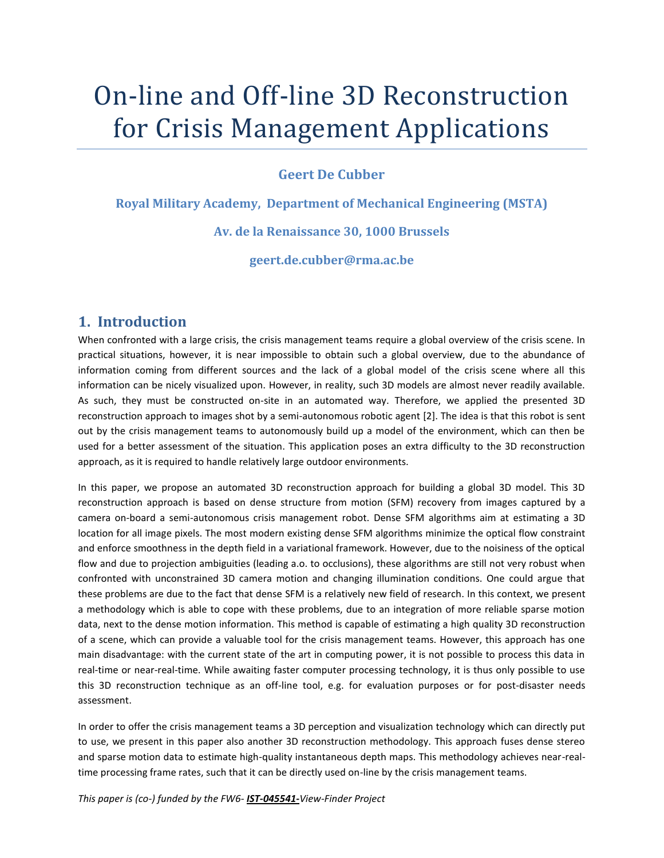# On-line and Off-line 3D Reconstruction for Crisis Management Applications

#### **Geert De Cubber**

**Royal Military Academy, Department of Mechanical Engineering (MSTA) Av. de la Renaissance 30, 1000 Brussels**

**geert.de.cubber@rma.ac.be**

#### **1. Introduction**

When confronted with a large crisis, the crisis management teams require a global overview of the crisis scene. In practical situations, however, it is near impossible to obtain such a global overview, due to the abundance of information coming from different sources and the lack of a global model of the crisis scene where all this information can be nicely visualized upon. However, in reality, such 3D models are almost never readily available. As such, they must be constructed on-site in an automated way. Therefore, we applied the presented 3D reconstruction approach to images shot by a semi-autonomous robotic agent [\[2\].](#page-4-0) The idea is that this robot is sent out by the crisis management teams to autonomously build up a model of the environment, which can then be used for a better assessment of the situation. This application poses an extra difficulty to the 3D reconstruction approach, as it is required to handle relatively large outdoor environments.

In this paper, we propose an automated 3D reconstruction approach for building a global 3D model. This 3D reconstruction approach is based on dense structure from motion (SFM) recovery from images captured by a camera on-board a semi-autonomous crisis management robot. Dense SFM algorithms aim at estimating a 3D location for all image pixels. The most modern existing dense SFM algorithms minimize the optical flow constraint and enforce smoothness in the depth field in a variational framework. However, due to the noisiness of the optical flow and due to projection ambiguities (leading a.o. to occlusions), these algorithms are still not very robust when confronted with unconstrained 3D camera motion and changing illumination conditions. One could argue that these problems are due to the fact that dense SFM is a relatively new field of research. In this context, we present a methodology which is able to cope with these problems, due to an integration of more reliable sparse motion data, next to the dense motion information. This method is capable of estimating a high quality 3D reconstruction of a scene, which can provide a valuable tool for the crisis management teams. However, this approach has one main disadvantage: with the current state of the art in computing power, it is not possible to process this data in real-time or near-real-time. While awaiting faster computer processing technology, it is thus only possible to use this 3D reconstruction technique as an off-line tool, e.g. for evaluation purposes or for post-disaster needs assessment.

In order to offer the crisis management teams a 3D perception and visualization technology which can directly put to use, we present in this paper also another 3D reconstruction methodology. This approach fuses dense stereo and sparse motion data to estimate high-quality instantaneous depth maps. This methodology achieves near-realtime processing frame rates, such that it can be directly used on-line by the crisis management teams.

*This paper is (co-) funded by the FW6- IST-045541-View-Finder Project*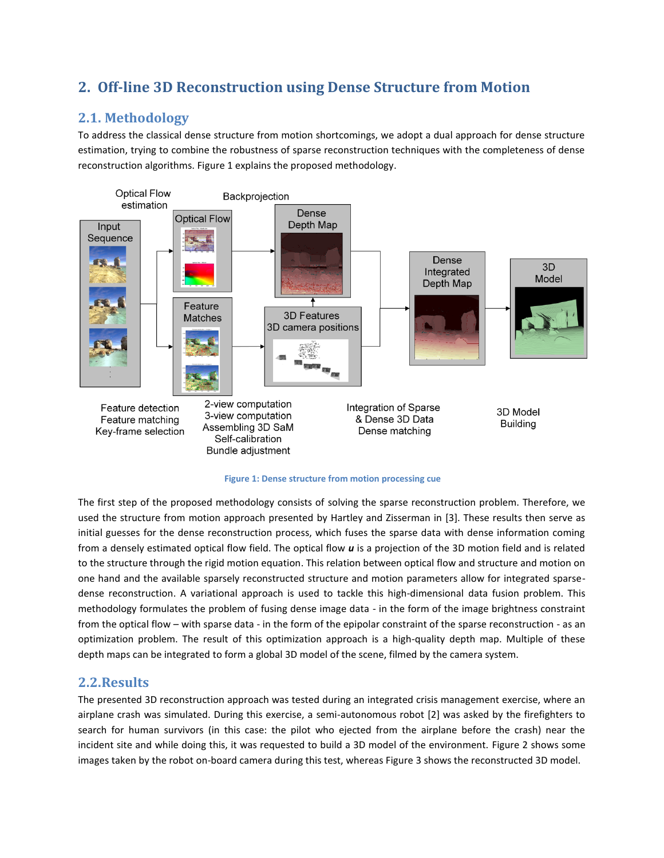## **2. Off-line 3D Reconstruction using Dense Structure from Motion**

## **2.1. Methodology**

To address the classical dense structure from motion shortcomings, we adopt a dual approach for dense structure estimation, trying to combine the robustness of sparse reconstruction techniques with the completeness of dense reconstruction algorithms. Figure 1 explains the proposed methodology.



#### **Figure 1: Dense structure from motion processing cue**

The first step of the proposed methodology consists of solving the sparse reconstruction problem. Therefore, we used the structure from motion approach presented by Hartley and Zisserman in [\[3\].](#page-4-1) These results then serve as initial guesses for the dense reconstruction process, which fuses the sparse data with dense information coming from a densely estimated optical flow field. The optical flow *u* is a projection of the 3D motion field and is related to the structure through the rigid motion equation. This relation between optical flow and structure and motion on one hand and the available sparsely reconstructed structure and motion parameters allow for integrated sparsedense reconstruction. A variational approach is used to tackle this high-dimensional data fusion problem. This methodology formulates the problem of fusing dense image data - in the form of the image brightness constraint from the optical flow – with sparse data - in the form of the epipolar constraint of the sparse reconstruction - as an optimization problem. The result of this optimization approach is a high-quality depth map. Multiple of these depth maps can be integrated to form a global 3D model of the scene, filmed by the camera system.

#### **2.2.Results**

The presented 3D reconstruction approach was tested during an integrated crisis management exercise, where an airplane crash was simulated. During this exercise, a semi-autonomous robot [\[2\]](#page-4-0) was asked by the firefighters to search for human survivors (in this case: the pilot who ejected from the airplane before the crash) near the incident site and while doing this, it was requested to build a 3D model of the environment. Figure 2 shows some images taken by the robot on-board camera during this test, whereas Figure 3 shows the reconstructed 3D model.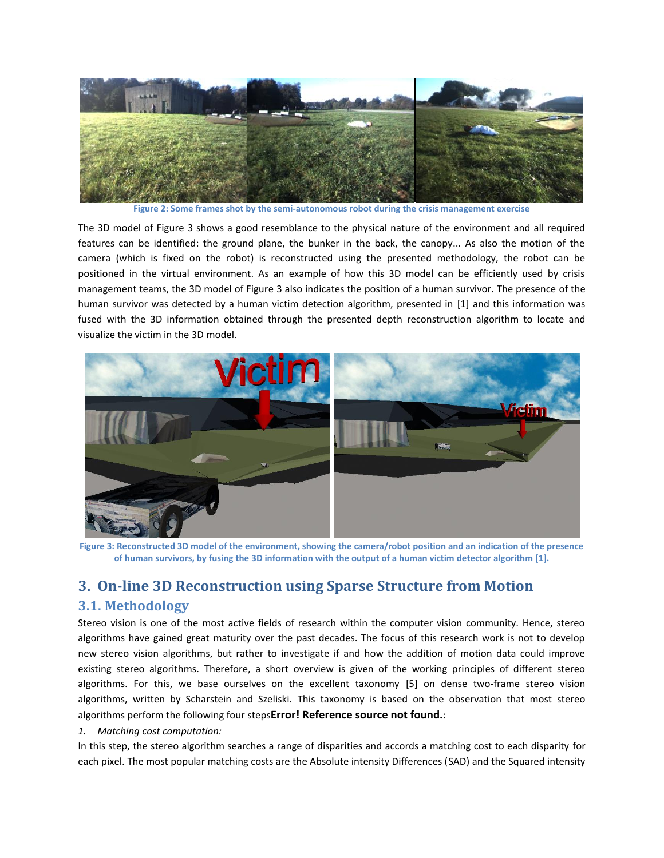

**Figure 2: Some frames shot by the semi-autonomous robot during the crisis management exercise**

The 3D model of Figure 3 shows a good resemblance to the physical nature of the environment and all required features can be identified: the ground plane, the bunker in the back, the canopy... As also the motion of the camera (which is fixed on the robot) is reconstructed using the presented methodology, the robot can be positioned in the virtual environment. As an example of how this 3D model can be efficiently used by crisis management teams, the 3D model of Figure 3 also indicates the position of a human survivor. The presence of the human survivor was detected by a human victim detection algorithm, presented in [\[1\]](#page-4-2) and this information was fused with the 3D information obtained through the presented depth reconstruction algorithm to locate and visualize the victim in the 3D model.



**Figure 3: Reconstructed 3D model of the environment, showing the camera/robot position and an indication of the presence of human survivors, by fusing the 3D information with the output of a human victim detector algorithm [\[1\].](#page-4-2)**

## **3. On-line 3D Reconstruction using Sparse Structure from Motion**

### **3.1. Methodology**

Stereo vision is one of the most active fields of research within the computer vision community. Hence, stereo algorithms have gained great maturity over the past decades. The focus of this research work is not to develop new stereo vision algorithms, but rather to investigate if and how the addition of motion data could improve existing stereo algorithms. Therefore, a short overview is given of the working principles of different stereo algorithms. For this, we base ourselves on the excellent taxonomy [\[5\]](#page-4-3) on dense two-frame stereo vision algorithms, written by Scharstein and Szeliski. This taxonomy is based on the observation that most stereo algorithms perform the following four steps**Error! Reference source not found.**:

#### *1. Matching cost computation:*

In this step, the stereo algorithm searches a range of disparities and accords a matching cost to each disparity for each pixel. The most popular matching costs are the Absolute intensity Differences (SAD) and the Squared intensity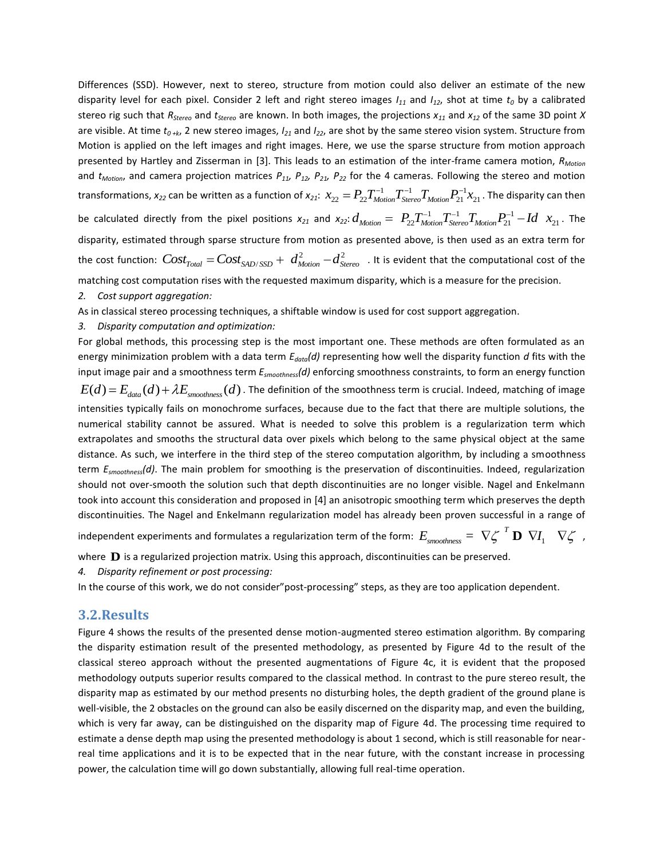Differences (SSD). However, next to stereo, structure from motion could also deliver an estimate of the new disparity level for each pixel. Consider 2 left and right stereo images *I<sup>11</sup>* and *I12*, shot at time *t<sup>0</sup>* by a calibrated stereo rig such that *RStereo* and *tStereo* are known. In both images, the projections *x<sup>11</sup>* and *x<sup>12</sup>* of the same 3D point *X* are visible. At time *t0 +k*, 2 new stereo images, *I<sup>21</sup>* and *I22*, are shot by the same stereo vision system. Structure from Motion is applied on the left images and right images. Here, we use the sparse structure from motion approach presented by Hartley and Zisserman in [\[3\].](#page-4-1) This leads to an estimation of the inter-frame camera motion, *RMotion* and *tMotion*, and camera projection matrices *P11, P12, P21, P<sup>22</sup>* for the 4 cameras. Following the stereo and motion and *Unotion*, and camera projection matrices  $P_{11}$ ,  $P_{12}$ ,  $P_{21}$ ,  $P_{22}$  for the 4 cameras. Following the stereo and motion<br>transformations,  $x_{22}$  can be written as a function of  $x_{21}$ :  $x_{22} = P_{22}T_{Motion}^{-1}T_{Stereo$ transformations,  $x_{22}$  can be written as a function of  $x_{21}$ :  $x_{22} = P_{22}P_{Motion}T_{Stereo}T_{Motion}P_{21}^{-1}x_{21}$ . The disparity can then<br>be calculated directly from the pixel positions  $x_{21}$  and  $x_{22}$ :  $d_{Motion} = P_{22}T_{Motion}^{-1}T_{Stereo$ disparity, estimated through sparse structure from motion as presented above, is then used as an extra term for disparity, estimated through sparse structure from motion as presented above, is then used as an extra term for<br>the cost function:  $Cost_{Total} = Cost_{SAD/SSD} + d_{Motion}^2 - d_{Stereo}^2$ . It is evident that the computational cost of the matching cost computation rises with the requested maximum disparity, which is a measure for the precision.

#### *2. Cost support aggregation:*

As in classical stereo processing techniques, a shiftable window is used for cost support aggregation.

#### *3. Disparity computation and optimization:*

For global methods, this processing step is the most important one. These methods are often formulated as an energy minimization problem with a data term *Edata(d)* representing how well the disparity function *d* fits with the input image pair and a smoothness term *Esmoothness(d)* enforcing smoothness constraints, to form an energy function nput image pair and a smoothness term  $E_{smoothness}(d)$  enforcing smoothness constraints, to form an energy function  $E(d)$  =  $E_{data}(d)$  +  $\lambda E_{smoothness}(d)$  . The definition of the smoothness term is crucial. Indeed, matching of image intensities typically fails on monochrome surfaces, because due to the fact that there are multiple solutions, the numerical stability cannot be assured. What is needed to solve this problem is a regularization term which extrapolates and smooths the structural data over pixels which belong to the same physical object at the same distance. As such, we interfere in the third step of the stereo computation algorithm, by including a smoothness term *Esmoothness(d)*. The main problem for smoothing is the preservation of discontinuities. Indeed, regularization should not over-smooth the solution such that depth discontinuities are no longer visible. Nagel and Enkelmann took into account this consideration and proposed in [\[4\]](#page-4-4) an anisotropic smoothing term which preserves the depth discontinuities. The Nagel and Enkelmann regularization model has already been proven successful in a range of

independent experiments and formulates a regularization term of the form:  $E_{\scriptscriptstyle smoothness}=\left.\nabla\zeta\right.^{T}{\bf D}\left.\nabla I_{\scriptscriptstyle \rm I} \right]$ *E<sub>smoothness* =  $\nabla \zeta^T \mathbf{D} \nabla I_1 \nabla \zeta$ ,</sub>

where **D** is a regularized projection matrix. Using this approach, discontinuities can be preserved.

*4. Disparity refinement or post processing:*

In the course of this work, we do not consider"post-processing" steps, as they are too application dependent.

#### **3.2.Results**

Figure 4 shows the results of the presented dense motion-augmented stereo estimation algorithm. By comparing the disparity estimation result of the presented methodology, as presented by Figure 4d to the result of the classical stereo approach without the presented augmentations of Figure 4c, it is evident that the proposed methodology outputs superior results compared to the classical method. In contrast to the pure stereo result, the disparity map as estimated by our method presents no disturbing holes, the depth gradient of the ground plane is well-visible, the 2 obstacles on the ground can also be easily discerned on the disparity map, and even the building, which is very far away, can be distinguished on the disparity map of Figure 4d. The processing time required to estimate a dense depth map using the presented methodology is about 1 second, which is still reasonable for nearreal time applications and it is to be expected that in the near future, with the constant increase in processing power, the calculation time will go down substantially, allowing full real-time operation.